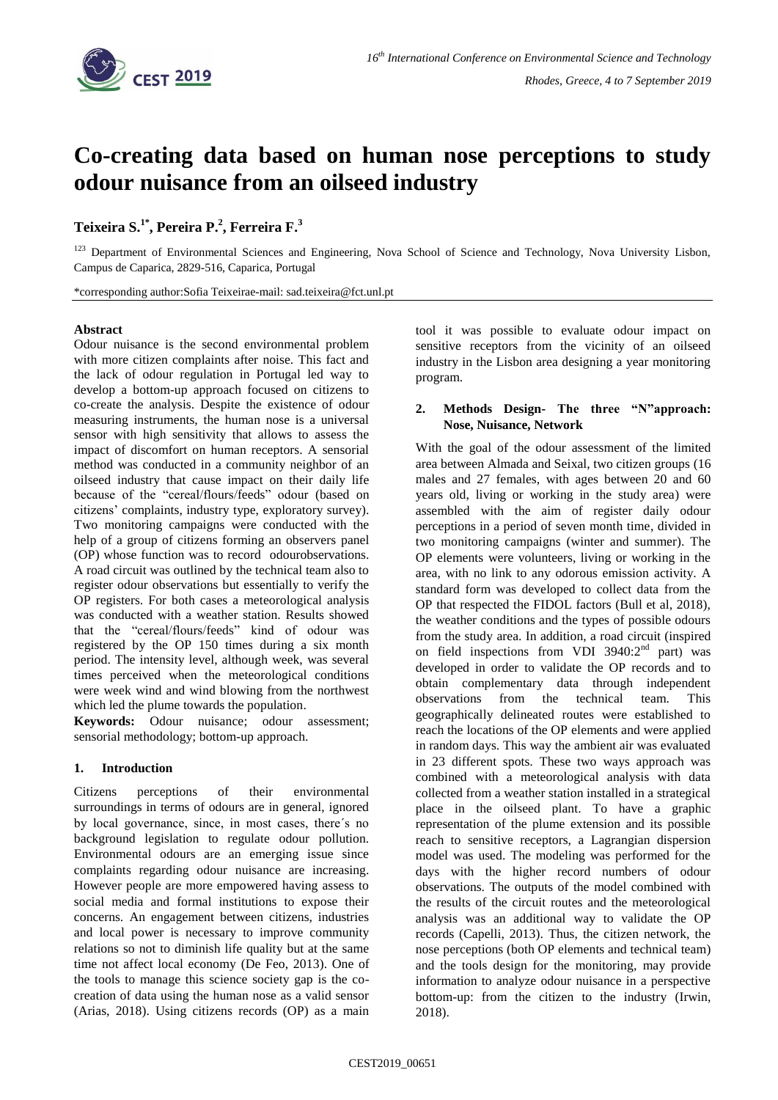

# **Co-creating data based on human nose perceptions to study odour nuisance from an oilseed industry**

## **Teixeira S. 1\* , Pereira P. 2 , Ferreira F. 3**

<sup>123</sup> Department of Environmental Sciences and Engineering, Nova School of Science and Technology, Nova University Lisbon, Campus de Caparica, 2829-516, Caparica, Portugal

\*corresponding author:Sofia Teixeirae-mail: sad.teixeira@fct.unl.pt

#### **Abstract**

Odour nuisance is the second environmental problem with more citizen complaints after noise. This fact and the lack of odour regulation in Portugal led way to develop a bottom-up approach focused on citizens to co-create the analysis. Despite the existence of odour measuring instruments, the human nose is a universal sensor with high sensitivity that allows to assess the impact of discomfort on human receptors. A sensorial method was conducted in a community neighbor of an oilseed industry that cause impact on their daily life because of the "cereal/flours/feeds" odour (based on citizens' complaints, industry type, exploratory survey). Two monitoring campaigns were conducted with the help of a group of citizens forming an observers panel (OP) whose function was to record odourobservations. A road circuit was outlined by the technical team also to register odour observations but essentially to verify the OP registers. For both cases a meteorological analysis was conducted with a weather station. Results showed that the "cereal/flours/feeds" kind of odour was registered by the OP 150 times during a six month period. The intensity level, although week, was several times perceived when the meteorological conditions were week wind and wind blowing from the northwest which led the plume towards the population.

**Keywords:** Odour nuisance; odour assessment; sensorial methodology; bottom-up approach.

### **1. Introduction**

Citizens perceptions of their environmental surroundings in terms of odours are in general, ignored by local governance, since, in most cases, there´s no background legislation to regulate odour pollution. Environmental odours are an emerging issue since complaints regarding odour nuisance are increasing. However people are more empowered having assess to social media and formal institutions to expose their concerns. An engagement between citizens, industries and local power is necessary to improve community relations so not to diminish life quality but at the same time not affect local economy (De Feo, 2013). One of the tools to manage this science society gap is the cocreation of data using the human nose as a valid sensor (Arias, 2018). Using citizens records (OP) as a main

tool it was possible to evaluate odour impact on sensitive receptors from the vicinity of an oilseed industry in the Lisbon area designing a year monitoring program.

## **2. Methods Design- The three "N"approach: Nose, Nuisance, Network**

With the goal of the odour assessment of the limited area between Almada and Seixal, two citizen groups (16 males and 27 females, with ages between 20 and 60 years old, living or working in the study area) were assembled with the aim of register daily odour perceptions in a period of seven month time, divided in two monitoring campaigns (winter and summer). The OP elements were volunteers, living or working in the area, with no link to any odorous emission activity. A standard form was developed to collect data from the OP that respected the FIDOL factors (Bull et al, 2018), the weather conditions and the types of possible odours from the study area. In addition, a road circuit (inspired on field inspections from VDI  $3940:2^{nd}$  part) was developed in order to validate the OP records and to obtain complementary data through independent observations from the technical team. This geographically delineated routes were established to reach the locations of the OP elements and were applied in random days. This way the ambient air was evaluated in 23 different spots. These two ways approach was combined with a meteorological analysis with data collected from a weather station installed in a strategical place in the oilseed plant. To have a graphic representation of the plume extension and its possible reach to sensitive receptors, a Lagrangian dispersion model was used. The modeling was performed for the days with the higher record numbers of odour observations. The outputs of the model combined with the results of the circuit routes and the meteorological analysis was an additional way to validate the OP records (Capelli, 2013). Thus, the citizen network, the nose perceptions (both OP elements and technical team) and the tools design for the monitoring, may provide information to analyze odour nuisance in a perspective bottom-up: from the citizen to the industry (Irwin, 2018).